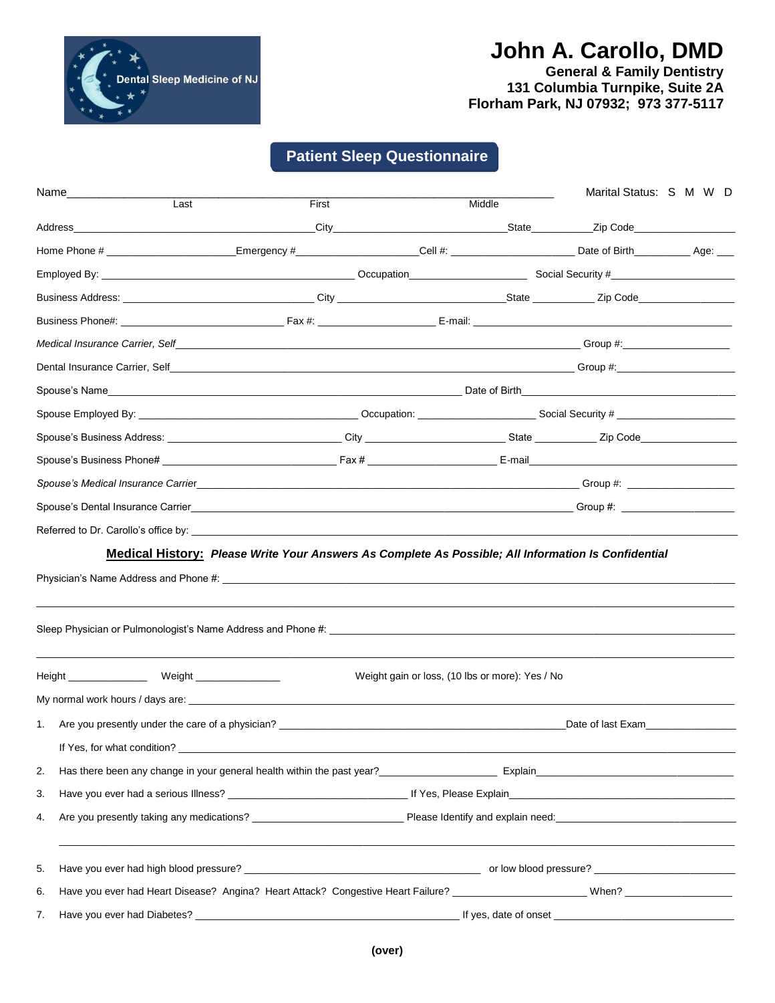

# **John A. Carollo, DMD**

**General & Family Dentistry 131 Columbia Turnpike, Suite 2A Florham Park, NJ 07932; 973 377-5117**

## **Patient Sleep Questionnaire**

|    | Name_________________<br>Last                                                                                                                                                                                                  | First |                                                 | Middle | Marital Status: S M W D |  |  |
|----|--------------------------------------------------------------------------------------------------------------------------------------------------------------------------------------------------------------------------------|-------|-------------------------------------------------|--------|-------------------------|--|--|
|    |                                                                                                                                                                                                                                |       |                                                 |        |                         |  |  |
|    | Home Phone # _________________________Emergency #_________________Cell #: ______________________Date of Birth_______________Age: ___                                                                                           |       |                                                 |        |                         |  |  |
|    |                                                                                                                                                                                                                                |       |                                                 |        |                         |  |  |
|    |                                                                                                                                                                                                                                |       |                                                 |        |                         |  |  |
|    |                                                                                                                                                                                                                                |       |                                                 |        |                         |  |  |
|    |                                                                                                                                                                                                                                |       |                                                 |        |                         |  |  |
|    |                                                                                                                                                                                                                                |       |                                                 |        |                         |  |  |
|    |                                                                                                                                                                                                                                |       |                                                 |        |                         |  |  |
|    |                                                                                                                                                                                                                                |       |                                                 |        |                         |  |  |
|    |                                                                                                                                                                                                                                |       |                                                 |        |                         |  |  |
|    |                                                                                                                                                                                                                                |       |                                                 |        |                         |  |  |
|    | Spouse's Medical Insurance Carrier entropy and the control of the Control of the Control of the Control of the Control of the Control of the Control of the Control of the Control of the Control of the Control of the Contro |       |                                                 |        |                         |  |  |
|    |                                                                                                                                                                                                                                |       |                                                 |        |                         |  |  |
|    |                                                                                                                                                                                                                                |       |                                                 |        |                         |  |  |
|    |                                                                                                                                                                                                                                |       |                                                 |        |                         |  |  |
|    |                                                                                                                                                                                                                                |       | Weight gain or loss, (10 lbs or more): Yes / No |        |                         |  |  |
| 1. | Are you presently under the care of a physician? The case of the case of a physician?                                                                                                                                          |       |                                                 |        | Date of last Exam       |  |  |
| 2. |                                                                                                                                                                                                                                |       |                                                 |        |                         |  |  |
| 3. |                                                                                                                                                                                                                                |       |                                                 |        |                         |  |  |
| 4. |                                                                                                                                                                                                                                |       |                                                 |        |                         |  |  |
| 5. |                                                                                                                                                                                                                                |       |                                                 |        |                         |  |  |
| 6. |                                                                                                                                                                                                                                |       |                                                 |        |                         |  |  |
| 7. |                                                                                                                                                                                                                                |       |                                                 |        |                         |  |  |